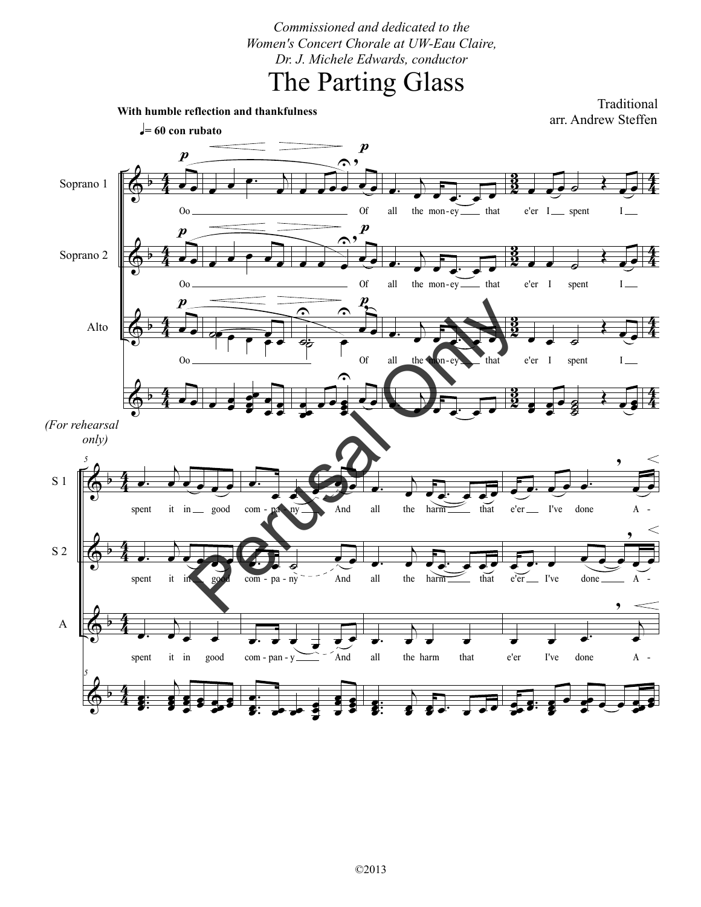## *Commissioned and dedicated to the Women's Concert Chorale at UW-Eau Claire, Dr. J. Michele Edwards, conductor*

## The Parting Glass



ě<br>O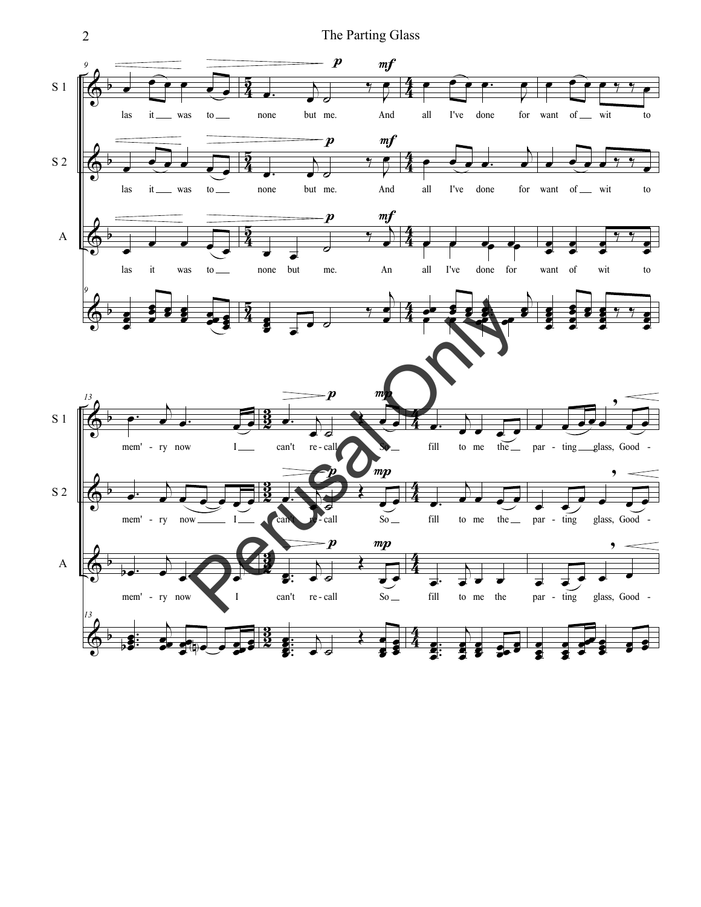

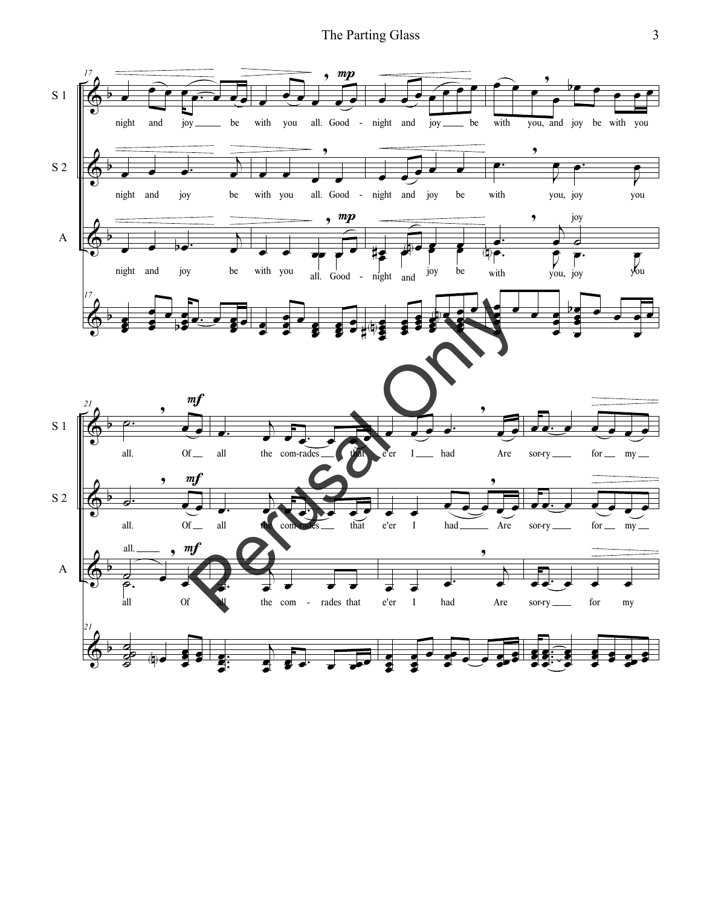## The Parting Glass 3

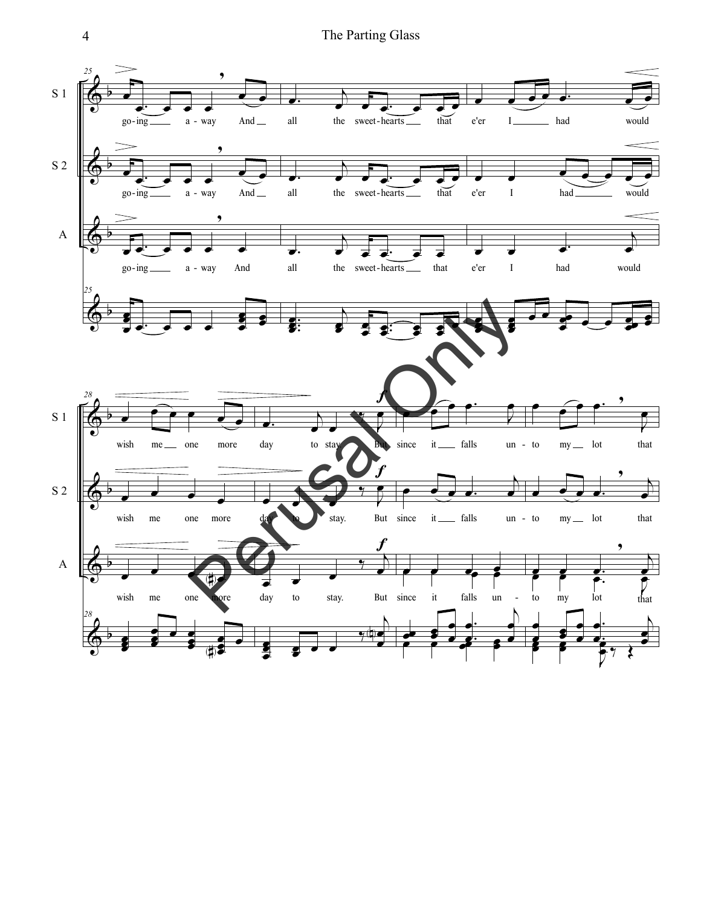4 The Parting Glass

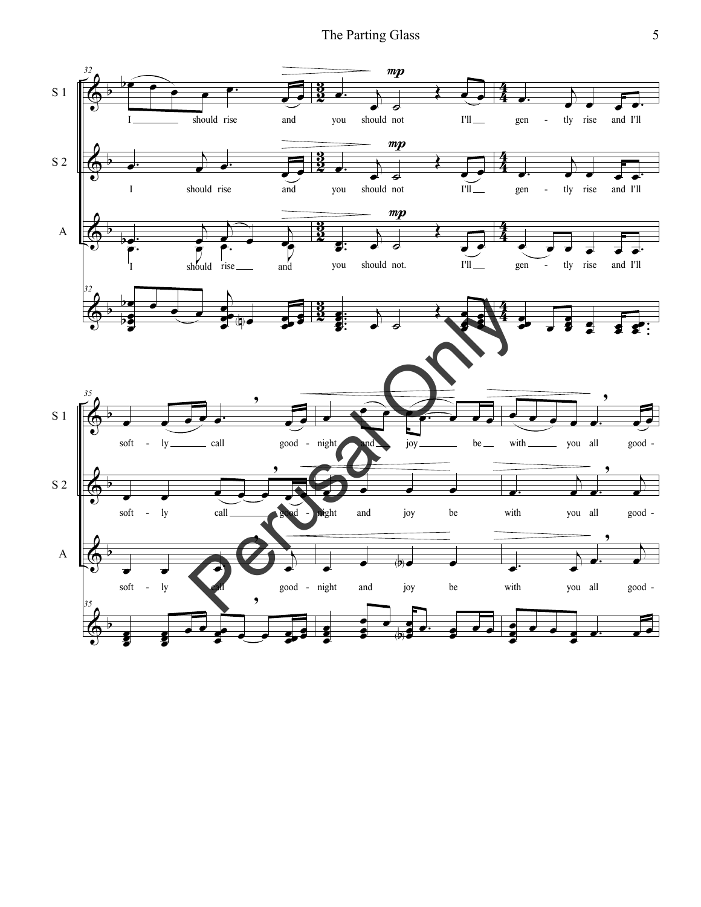